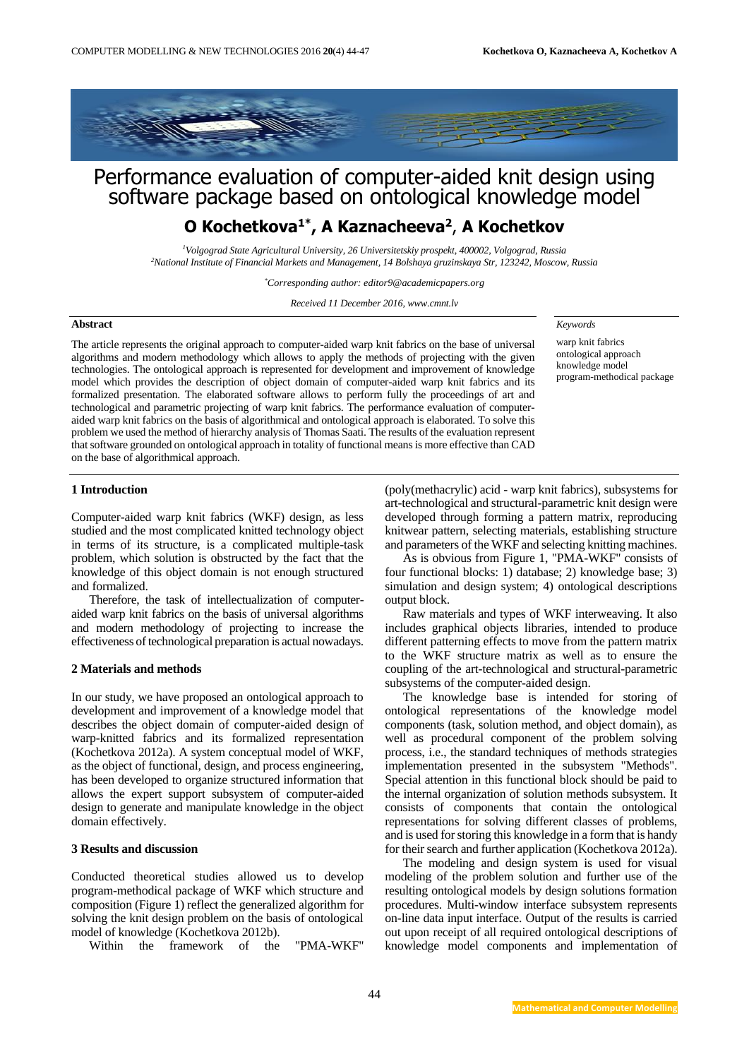

# Performance evaluation of computer-aided knit design using software package based on ontological knowledge model

# **O Kochetkova1\* , A Kaznacheeva<sup>2</sup>** , **A Kochetkov**

*<sup>1</sup>Volgograd State Agricultural University, 26 Universitetskiy prospekt, 400002, Volgograd, Russia <sup>2</sup>National Institute of Financial Markets and Management, 14 Bolshaya gruzinskaya Str, 123242, Moscow, Russia*

*\*Corresponding author: editor9@academicpapers.org*

*Received 11 December 2016, www.cmnt.lv*

#### **Abstract**

The article represents the original approach to computer-aided warp knit fabrics on the base of universal algorithms and modern methodology which allows to apply the methods of projecting with the given technologies. The ontological approach is represented for development and improvement of knowledge model which provides the description of object domain of computer-aided warp knit fabrics and its formalized presentation. The elaborated software allows to perform fully the proceedings of art and technological and parametric projecting of warp knit fabrics. The performance evaluation of computeraided warp knit fabrics on the basis of algorithmical and ontological approach is elaborated. To solve this problem we used the method of hierarchy analysis of Thomas Saati. The results of the evaluation represent that software grounded on ontological approach in totality of functional means is more effective than CAD on the base of algorithmical approach.

#### *Keywords*

warp knit fabrics ontological approach knowledge model program-methodical package

#### **1 Introduction**

Computer-aided warp knit fabrics (WKF) design, as less studied and the most complicated knitted technology object in terms of its structure, is a complicated multiple-task problem, which solution is obstructed by the fact that the knowledge of this object domain is not enough structured and formalized.

Therefore, the task of intellectualization of computeraided warp knit fabrics on the basis of universal algorithms and modern methodology of projecting to increase the effectiveness of technological preparation is actual nowadays.

#### **2 Materials and methods**

In our study, we have proposed an ontological approach to development and improvement of a knowledge model that describes the object domain of computer-aided design of warp-knitted fabrics and its formalized representation (Kochetkova 2012a). A system conceptual model of WKF, as the object of functional, design, and process engineering, has been developed to organize structured information that allows the expert support subsystem of computer-aided design to generate and manipulate knowledge in the object domain effectively.

#### **3 Results and discussion**

Conducted theoretical studies allowed us to develop program-methodical package of WKF which structure and composition (Figure 1) reflect the generalized algorithm for solving the knit design problem on the basis of ontological model of knowledge (Kochetkova 2012b).

Within the framework of the "PMA-WKF"

(poly(methacrylic) acid - warp knit fabrics), subsystems for art-technological and structural-parametric knit design were developed through forming a pattern matrix, reproducing knitwear pattern, selecting materials, establishing structure and parameters of the WKF and selecting knitting machines.

As is obvious from Figure 1, "PMA-WKF" consists of four functional blocks: 1) database; 2) knowledge base; 3) simulation and design system; 4) ontological descriptions output block.

Raw materials and types of WKF interweaving. It also includes graphical objects libraries, intended to produce different patterning effects to move from the pattern matrix to the WKF structure matrix as well as to ensure the coupling of the art-technological and structural-parametric subsystems of the computer-aided design.

The knowledge base is intended for storing of ontological representations of the knowledge model components (task, solution method, and object domain), as well as procedural component of the problem solving process, i.e., the standard techniques of methods strategies implementation presented in the subsystem "Methods". Special attention in this functional block should be paid to the internal organization of solution methods subsystem. It consists of components that contain the ontological representations for solving different classes of problems, and is used for storing this knowledge in a form that is handy for their search and further application (Kochetkova 2012a).

The modeling and design system is used for visual modeling of the problem solution and further use of the resulting ontological models by design solutions formation procedures. Multi-window interface subsystem represents on-line data input interface. Output of the results is carried out upon receipt of all required ontological descriptions of knowledge model components and implementation of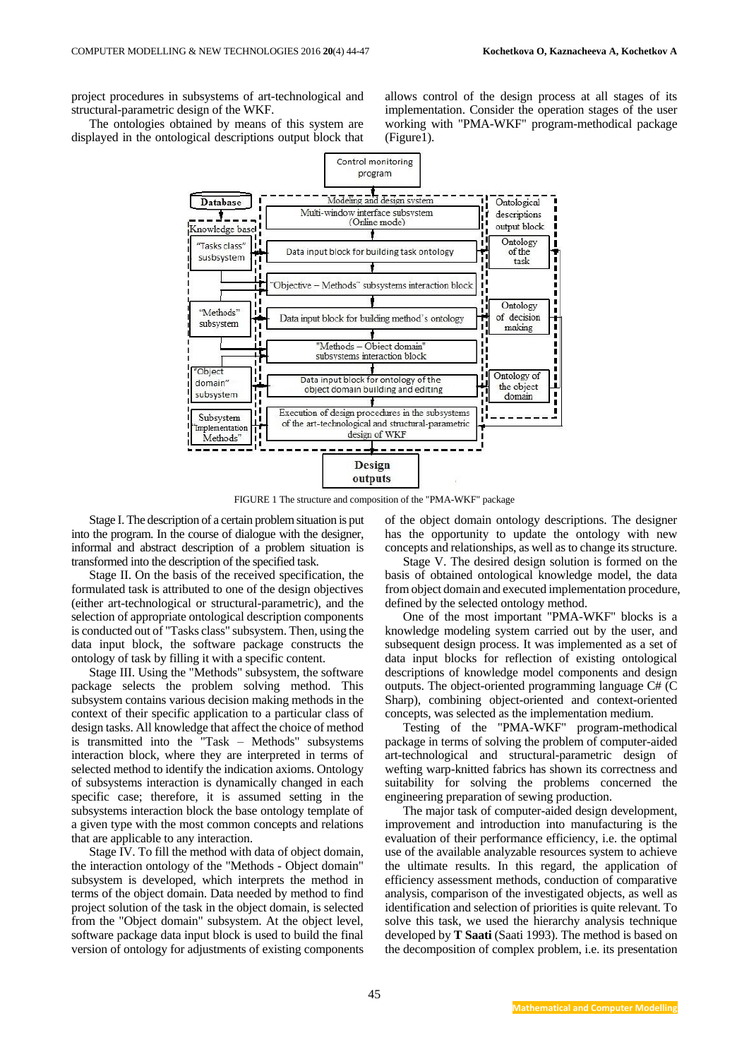project procedures in subsystems of art-technological and structural-parametric design of the WKF.

The ontologies obtained by means of this system are displayed in the ontological descriptions output block that allows control of the design process at all stages of its implementation. Consider the operation stages of the user working with "PMA-WKF" program-methodical package (Figure1).



FIGURE 1 The structure and composition of the "PMA-WKF" package

Stage I. The description of a certain problem situation is put into the program. In the course of dialogue with the designer, informal and abstract description of a problem situation is transformed into the description of the specified task.

Stage II. On the basis of the received specification, the formulated task is attributed to one of the design objectives (either art-technological or structural-parametric), and the selection of appropriate ontological description components is conducted out of "Tasks class" subsystem. Then, using the data input block, the software package constructs the ontology of task by filling it with a specific content.

Stage III. Using the "Methods" subsystem, the software package selects the problem solving method. This subsystem contains various decision making methods in the context of their specific application to a particular class of design tasks. All knowledge that affect the choice of method is transmitted into the "Task – Methods" subsystems interaction block, where they are interpreted in terms of selected method to identify the indication axioms. Ontology of subsystems interaction is dynamically changed in each specific case; therefore, it is assumed setting in the subsystems interaction block the base ontology template of a given type with the most common concepts and relations that are applicable to any interaction.

Stage IV. To fill the method with data of object domain, the interaction ontology of the "Methods - Object domain" subsystem is developed, which interprets the method in terms of the object domain. Data needed by method to find project solution of the task in the object domain, is selected from the "Object domain" subsystem. At the object level, software package data input block is used to build the final version of ontology for adjustments of existing components

of the object domain ontology descriptions. The designer has the opportunity to update the ontology with new concepts and relationships, as well as to change its structure.

Stage V. The desired design solution is formed on the basis of obtained ontological knowledge model, the data from object domain and executed implementation procedure, defined by the selected ontology method.

One of the most important "PMA-WKF" blocks is a knowledge modeling system carried out by the user, and subsequent design process. It was implemented as a set of data input blocks for reflection of existing ontological descriptions of knowledge model components and design outputs. The object-oriented programming language C# (C Sharp), combining object-oriented and context-oriented concepts, was selected as the implementation medium.

Testing of the "PMA-WKF" program-methodical package in terms of solving the problem of computer-aided art-technological and structural-parametric design of wefting warp-knitted fabrics has shown its correctness and suitability for solving the problems concerned the engineering preparation of sewing production.

The major task of computer-aided design development, improvement and introduction into manufacturing is the evaluation of their performance efficiency, i.e. the optimal use of the available analyzable resources system to achieve the ultimate results. In this regard, the application of efficiency assessment methods, conduction of comparative analysis, comparison of the investigated objects, as well as identification and selection of priorities is quite relevant. To solve this task, we used the hierarchy analysis technique developed by **T Saati** (Saati 1993). The method is based on the decomposition of complex problem, i.e. its presentation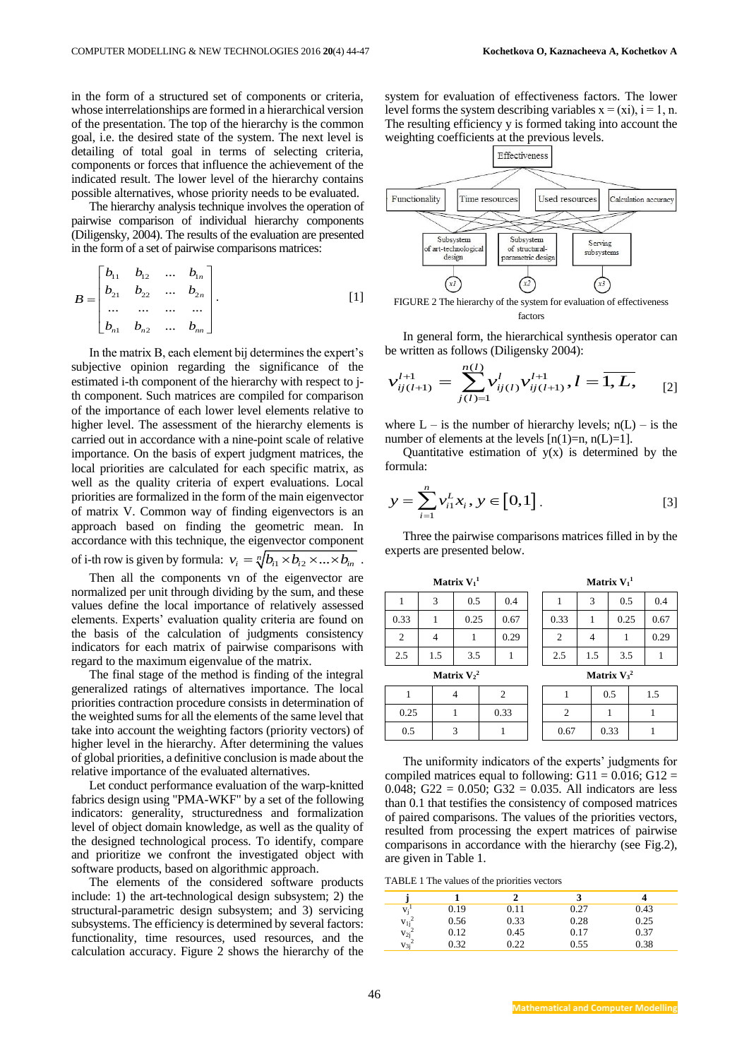in the form of a structured set of components or criteria, whose interrelationships are formed in a hierarchical version of the presentation. The top of the hierarchy is the common goal, i.e. the desired state of the system. The next level is detailing of total goal in terms of selecting criteria, components or forces that influence the achievement of the indicated result. The lower level of the hierarchy contains possible alternatives, whose priority needs to be evaluated.

The hierarchy analysis technique involves the operation of pairwise comparison of individual hierarchy components (Diligensky, 2004). The results of the evaluation are presented in the form of a set of pairwise comparisons matrices:

$$
B = \begin{bmatrix} b_{11} & b_{12} & \dots & b_{1n} \\ b_{21} & b_{22} & \dots & b_{2n} \\ \dots & \dots & \dots & \dots \\ b_{n1} & b_{n2} & \dots & b_{nn} \end{bmatrix} .
$$
 [1]

In the matrix B, each element bij determines the expert's subjective opinion regarding the significance of the estimated i-th component of the hierarchy with respect to jth component. Such matrices are compiled for comparison of the importance of each lower level elements relative to higher level. The assessment of the hierarchy elements is carried out in accordance with a nine-point scale of relative importance. On the basis of expert judgment matrices, the local priorities are calculated for each specific matrix, as well as the quality criteria of expert evaluations. Local priorities are formalized in the form of the main eigenvector of matrix V. Common way of finding eigenvectors is an approach based on finding the geometric mean. In accordance with this technique, the eigenvector component of i-th row is given by formula:  $v_i = \sqrt[n]{b_{i1} \times b_{i2} \times ... \times b_{in}}$ .

Then all the components vn of the eigenvector are normalized per unit through dividing by the sum, and these values define the local importance of relatively assessed elements. Experts' evaluation quality criteria are found on the basis of the calculation of judgments consistency indicators for each matrix of pairwise comparisons with regard to the maximum eigenvalue of the matrix.

The final stage of the method is finding of the integral generalized ratings of alternatives importance. The local priorities contraction procedure consists in determination of the weighted sums for all the elements of the same level that take into account the weighting factors (priority vectors) of higher level in the hierarchy. After determining the values of global priorities, a definitive conclusion is made about the relative importance of the evaluated alternatives.

Let conduct performance evaluation of the warp-knitted fabrics design using "PMA-WKF" by a set of the following indicators: generality, structuredness and formalization level of object domain knowledge, as well as the quality of the designed technological process. To identify, compare and prioritize we confront the investigated object with software products, based on algorithmic approach.

The elements of the considered software products include: 1) the art-technological design subsystem; 2) the structural-parametric design subsystem; and 3) servicing subsystems. The efficiency is determined by several factors: functionality, time resources, used resources, and the calculation accuracy. Figure 2 shows the hierarchy of the system for evaluation of effectiveness factors. The lower level forms the system describing variables  $x = (xi)$ ,  $i = 1$ , n. The resulting efficiency y is formed taking into account the weighting coefficients at the previous levels.



FIGURE 2 The hierarchy of the system for evaluation of effectiveness factors

In general form, the hierarchical synthesis operator can be written as follows (Diligensky 2004):

$$
v_{ij(l+1)}^{l+1} = \sum_{j(l)=1}^{n(l)} v_{ij(l)}^l v_{ij(l+1)}^{l+1}, l = \overline{1, L},
$$
 [2]

where  $L - i$ s the number of hierarchy levels;  $n(L) - i$ s the number of elements at the levels  $[n(1)=n, n(L)=1]$ .

Quantitative estimation of  $y(x)$  is determined by the formula:

$$
y = \sum_{i=1}^{n} v_{i1}^{L} x_i, y \in [0,1].
$$
 [3]

Three the pairwise comparisons matrices filled in by the experts are presented below.

| Matrix $V_1^1$ |     |   |      |      | Matrix $V_1^1$ |  |                |  |     |      |     |      |
|----------------|-----|---|------|------|----------------|--|----------------|--|-----|------|-----|------|
|                | 3   |   | 0.5  |      | 0.4            |  |                |  | 3   | 0.5  |     | 0.4  |
| 0.33           | 1   |   | 0.25 |      | 0.67           |  | 0.33           |  | 1   | 0.25 |     | 0.67 |
| $\overline{2}$ | 4   |   | 1    |      | 0.29           |  | $\overline{2}$ |  | 4   | 1    |     | 0.29 |
| 2.5            | 1.5 |   | 3.5  |      |                |  | 2.5            |  | 1.5 | 3.5  |     |      |
| Matrix $V_2^2$ |     |   |      |      |                |  | Matrix $V_3^2$ |  |     |      |     |      |
| 1              |     |   | 4    |      | $\overline{c}$ |  | 1              |  | 0.5 |      | 1.5 |      |
| 0.25           |     | 1 |      | 0.33 |                |  | 2              |  |     |      |     |      |
| 0.5            |     | 3 |      |      |                |  | 0.67           |  |     | 0.33 |     |      |

The uniformity indicators of the experts' judgments for compiled matrices equal to following:  $G11 = 0.016$ ;  $G12 =$ 0.048; G22 = 0.050; G32 = 0.035. All indicators are less than 0.1 that testifies the consistency of composed matrices of paired comparisons. The values of the priorities vectors, resulted from processing the expert matrices of pairwise comparisons in accordance with the hierarchy (see Fig.2), are given in Table 1.

TABLE 1 The values of the priorities vectors

| ٠                                                                     |      |      |      |      |
|-----------------------------------------------------------------------|------|------|------|------|
| $V_i$                                                                 | 0.19 | 0.11 | 0.27 | 0.43 |
|                                                                       | 0.56 | 0.33 | 0.28 | 0.25 |
| $\begin{array}{c} \mathbf{v_{1j}}^2 \\ \mathbf{v_{2j}}^2 \end{array}$ | 0.12 | 0.45 | 0.17 | 0.37 |
| $v_{3i}^2$                                                            | 0.32 | 0.22 | 0.55 | 0.38 |